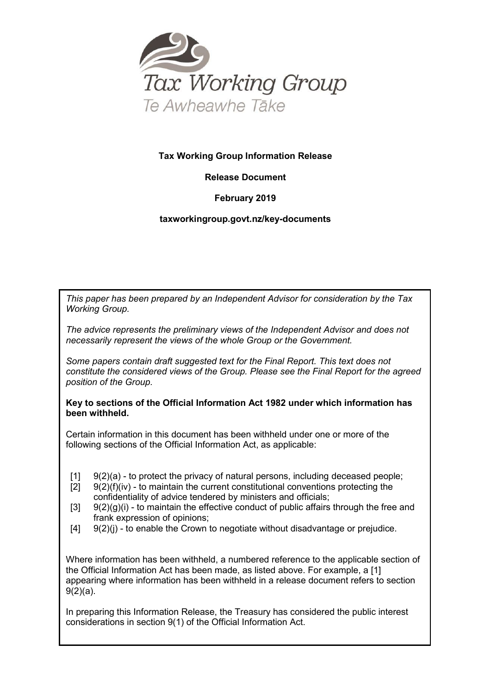

#### **Tax Working Group Information Release**

## **Release Document**

## **February 2019**

## **taxworkingroup.govt.nz/key-documents**

*This paper has been prepared by an Independent Advisor for consideration by the Tax Working Group.*

*The advice represents the preliminary views of the Independent Advisor and does not necessarily represent the views of the whole Group or the Government.*

*Some papers contain draft suggested text for the Final Report. This text does not constitute the considered views of the Group. Please see the Final Report for the agreed position of the Group.*

#### **Key to sections of the Official Information Act 1982 under which information has been withheld.**

Certain information in this document has been withheld under one or more of the following sections of the Official Information Act, as applicable:

- $[11 \quad 9(2)(a)$  to protect the privacy of natural persons, including deceased people;
- $[2]$  9(2)(f)(iv) to maintain the current constitutional conventions protecting the confidentiality of advice tendered by ministers and officials;
- $[3]$  9(2)(g)(i) to maintain the effective conduct of public affairs through the free and frank expression of opinions;
- $[4]$   $[9(2)(i)$  to enable the Crown to negotiate without disadvantage or prejudice.

Where information has been withheld, a numbered reference to the applicable section of the Official Information Act has been made, as listed above. For example, a [1] appearing where information has been withheld in a release document refers to section 9(2)(a).

In preparing this Information Release, the Treasury has considered the public interest considerations in section 9(1) of the Official Information Act.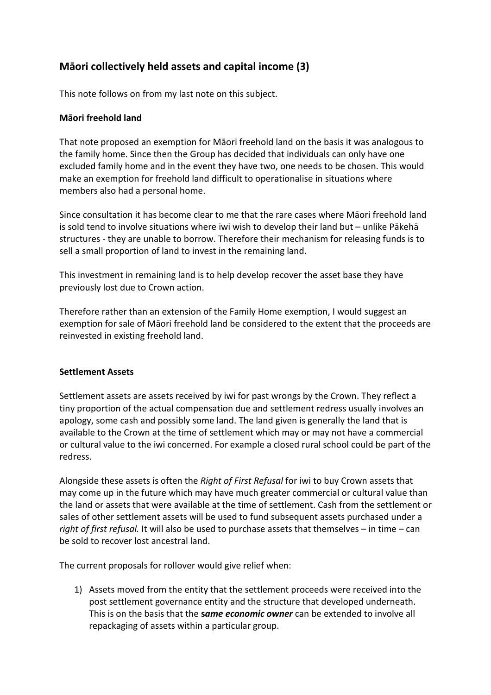# **Māori collectively held assets and capital income (3)**

This note follows on from my last note on this subject.

## **Māori freehold land**

That note proposed an exemption for Māori freehold land on the basis it was analogous to the family home. Since then the Group has decided that individuals can only have one excluded family home and in the event they have two, one needs to be chosen. This would make an exemption for freehold land difficult to operationalise in situations where members also had a personal home.

Since consultation it has become clear to me that the rare cases where Māori freehold land is sold tend to involve situations where iwi wish to develop their land but – unlike Pākehā structures - they are unable to borrow. Therefore their mechanism for releasing funds is to sell a small proportion of land to invest in the remaining land.

This investment in remaining land is to help develop recover the asset base they have previously lost due to Crown action.

Therefore rather than an extension of the Family Home exemption, I would suggest an exemption for sale of Māori freehold land be considered to the extent that the proceeds are reinvested in existing freehold land.

#### **Settlement Assets**

Settlement assets are assets received by iwi for past wrongs by the Crown. They reflect a tiny proportion of the actual compensation due and settlement redress usually involves an apology, some cash and possibly some land. The land given is generally the land that is available to the Crown at the time of settlement which may or may not have a commercial or cultural value to the iwi concerned. For example a closed rural school could be part of the redress.

Alongside these assets is often the *Right of First Refusal* for iwi to buy Crown assets that may come up in the future which may have much greater commercial or cultural value than the land or assets that were available at the time of settlement. Cash from the settlement or sales of other settlement assets will be used to fund subsequent assets purchased under a *right of first refusal.* It will also be used to purchase assets that themselves – in time – can be sold to recover lost ancestral land.

The current proposals for rollover would give relief when:

1) Assets moved from the entity that the settlement proceeds were received into the post settlement governance entity and the structure that developed underneath. This is on the basis that the **s***ame economic owner* can be extended to involve all repackaging of assets within a particular group.